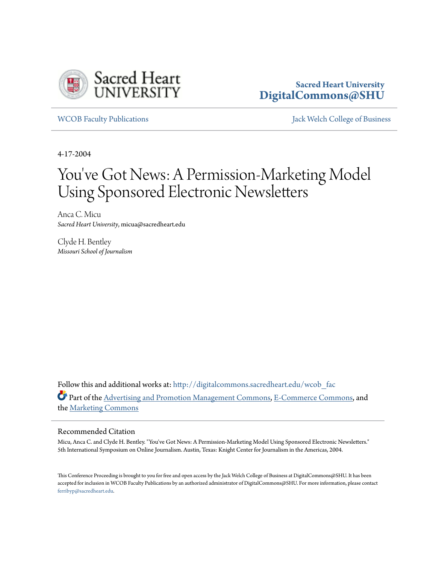

## **Sacred Heart University [DigitalCommons@SHU](http://digitalcommons.sacredheart.edu?utm_source=digitalcommons.sacredheart.edu%2Fwcob_fac%2F365&utm_medium=PDF&utm_campaign=PDFCoverPages)**

[WCOB Faculty Publications](http://digitalcommons.sacredheart.edu/wcob_fac?utm_source=digitalcommons.sacredheart.edu%2Fwcob_fac%2F365&utm_medium=PDF&utm_campaign=PDFCoverPages) [Jack Welch College of Business](http://digitalcommons.sacredheart.edu/wcob?utm_source=digitalcommons.sacredheart.edu%2Fwcob_fac%2F365&utm_medium=PDF&utm_campaign=PDFCoverPages)

4-17-2004

# You 've Got News: A Permission-Marketing Model Using Sponsored Electronic Newsletters

Anca C. Micu *Sacred Heart University*, micua@sacredheart.edu

Clyde H. Bentley *Missouri School of Journalism*

Follow this and additional works at: [http://digitalcommons.sacredheart.edu/wcob\\_fac](http://digitalcommons.sacredheart.edu/wcob_fac?utm_source=digitalcommons.sacredheart.edu%2Fwcob_fac%2F365&utm_medium=PDF&utm_campaign=PDFCoverPages) Part of the [Advertising and Promotion Management Commons,](http://network.bepress.com/hgg/discipline/626?utm_source=digitalcommons.sacredheart.edu%2Fwcob_fac%2F365&utm_medium=PDF&utm_campaign=PDFCoverPages) [E-Commerce Commons,](http://network.bepress.com/hgg/discipline/624?utm_source=digitalcommons.sacredheart.edu%2Fwcob_fac%2F365&utm_medium=PDF&utm_campaign=PDFCoverPages) and the [Marketing Commons](http://network.bepress.com/hgg/discipline/638?utm_source=digitalcommons.sacredheart.edu%2Fwcob_fac%2F365&utm_medium=PDF&utm_campaign=PDFCoverPages)

#### Recommended Citation

Micu, Anca C. and Clyde H. Bentley. "You've Got News: A Permission-Marketing Model Using Sponsored Electronic Newsletters." 5th International Symposium on Online Journalism. Austin, Texas: Knight Center for Journalism in the Americas, 2004.

This Conference Proceeding is brought to you for free and open access by the Jack Welch College of Business at DigitalCommons@SHU. It has been accepted for inclusion in WCOB Faculty Publications by an authorized administrator of DigitalCommons@SHU. For more information, please contact [ferribyp@sacredheart.edu](mailto:ferribyp@sacredheart.edu).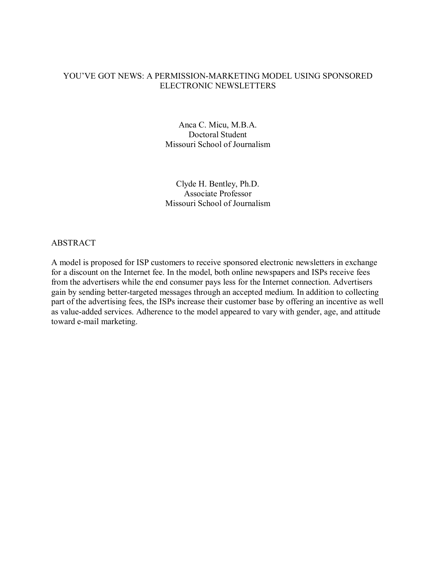## YOU'VE GOT NEWS: A PERMISSION-MARKETING MODEL USING SPONSORED ELECTRONIC NEWSLETTERS

Anca C. Micu, M.B.A. Doctoral Student Missouri School of Journalism

Clyde H. Bentley, Ph.D. Associate Professor Missouri School of Journalism

## ABSTRACT

A model is proposed for ISP customers to receive sponsored electronic newsletters in exchange for a discount on the Internet fee. In the model, both online newspapers and ISPs receive fees from the advertisers while the end consumer pays less for the Internet connection. Advertisers gain by sending better-targeted messages through an accepted medium. In addition to collecting part of the advertising fees, the ISPs increase their customer base by offering an incentive as well as value-added services. Adherence to the model appeared to vary with gender, age, and attitude toward e-mail marketing.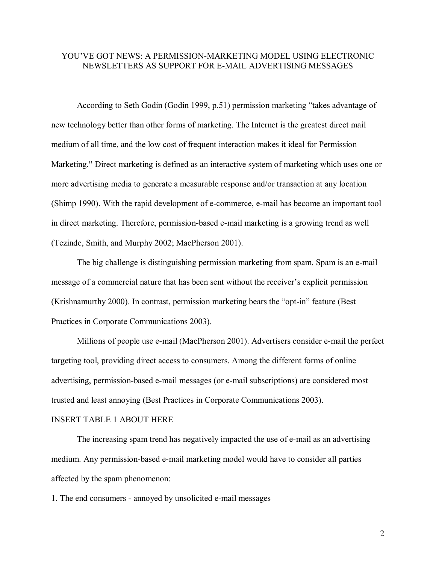## YOU'VE GOT NEWS: A PERMISSION-MARKETING MODEL USING ELECTRONIC NEWSLETTERS AS SUPPORT FOR E-MAIL ADVERTISING MESSAGES

According to Seth Godin (Godin 1999, p.51) permission marketing "takes advantage of new technology better than other forms of marketing. The Internet is the greatest direct mail medium of all time, and the low cost of frequent interaction makes it ideal for Permission Marketing." Direct marketing is defined as an interactive system of marketing which uses one or more advertising media to generate a measurable response and/or transaction at any location (Shimp 1990). With the rapid development of e-commerce, e-mail has become an important tool in direct marketing. Therefore, permission-based e-mail marketing is a growing trend as well (Tezinde, Smith, and Murphy 2002; MacPherson 2001).

The big challenge is distinguishing permission marketing from spam. Spam is an e-mail message of a commercial nature that has been sent without the receiver's explicit permission (Krishnamurthy 2000). In contrast, permission marketing bears the "opt-in" feature (Best Practices in Corporate Communications 2003).

Millions of people use e-mail (MacPherson 2001). Advertisers consider e-mail the perfect targeting tool, providing direct access to consumers. Among the different forms of online advertising, permission-based e-mail messages (or e-mail subscriptions) are considered most trusted and least annoying (Best Practices in Corporate Communications 2003).

## INSERT TABLE 1 ABOUT HERE

The increasing spam trend has negatively impacted the use of e-mail as an advertising medium. Any permission-based e-mail marketing model would have to consider all parties affected by the spam phenomenon:

1. The end consumers - annoyed by unsolicited e-mail messages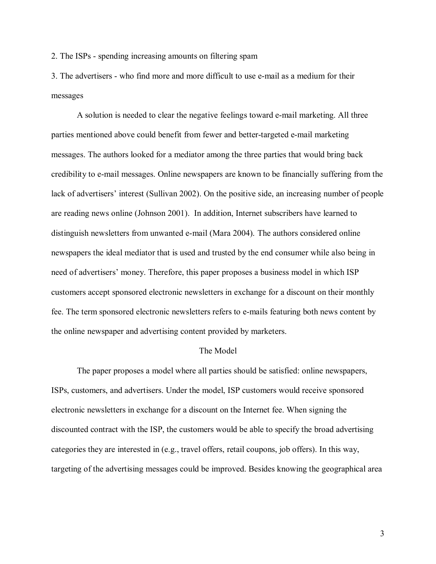2. The ISPs - spending increasing amounts on filtering spam

3. The advertisers - who find more and more difficult to use e-mail as a medium for their messages

A solution is needed to clear the negative feelings toward e-mail marketing. All three parties mentioned above could benefit from fewer and better-targeted e-mail marketing messages. The authors looked for a mediator among the three parties that would bring back credibility to e-mail messages. Online newspapers are known to be financially suffering from the lack of advertisers' interest (Sullivan 2002). On the positive side, an increasing number of people are reading news online (Johnson 2001). In addition, Internet subscribers have learned to distinguish newsletters from unwanted e-mail (Mara 2004). The authors considered online newspapers the ideal mediator that is used and trusted by the end consumer while also being in need of advertisers' money. Therefore, this paper proposes a business model in which ISP customers accept sponsored electronic newsletters in exchange for a discount on their monthly fee. The term sponsored electronic newsletters refers to e-mails featuring both news content by the online newspaper and advertising content provided by marketers.

## The Model

The paper proposes a model where all parties should be satisfied: online newspapers, ISPs, customers, and advertisers. Under the model, ISP customers would receive sponsored electronic newsletters in exchange for a discount on the Internet fee. When signing the discounted contract with the ISP, the customers would be able to specify the broad advertising categories they are interested in (e.g., travel offers, retail coupons, job offers). In this way, targeting of the advertising messages could be improved. Besides knowing the geographical area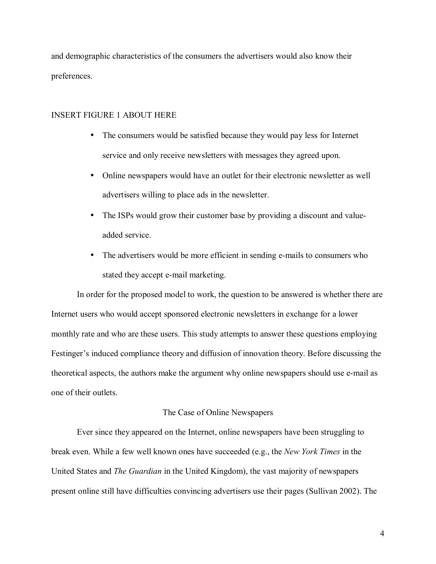and demographic characteristics of the consumers the advertisers would also know their preferences.

## INSERT FIGURE 1 ABOUT HERE

- The consumers would be satisfied because they would pay less for Internet service and only receive newsletters with messages they agreed upon.
- Online newspapers would have an outlet for their electronic newsletter as well advertisers willing to place ads in the newsletter.
- The ISPs would grow their customer base by providing a discount and valueadded service.
- The advertisers would be more efficient in sending e-mails to consumers who stated they accept e-mail marketing.

In order for the proposed model to work, the question to be answered is whether there are Internet users who would accept sponsored electronic newsletters in exchange for a lower monthly rate and who are these users. This study attempts to answer these questions employing Festinger's induced compliance theory and diffusion of innovation theory. Before discussing the theoretical aspects, the authors make the argument why online newspapers should use e-mail as one of their outlets.

## The Case of Online Newspapers

Ever since they appeared on the Internet, online newspapers have been struggling to break even. While a few well known ones have succeeded (e.g., the *New York Times* in the United States and *The Guardian* in the United Kingdom), the vast majority of newspapers present online still have difficulties convincing advertisers use their pages (Sullivan 2002). The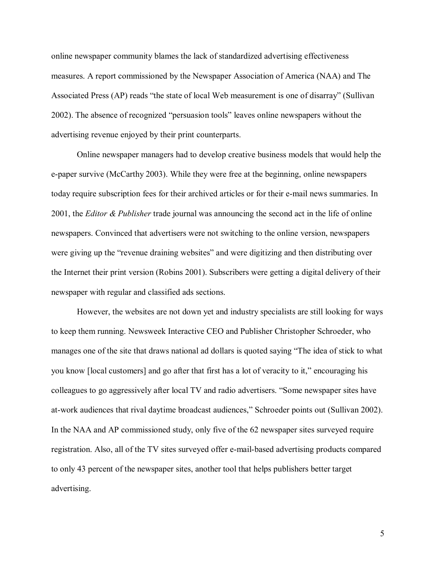online newspaper community blames the lack of standardized advertising effectiveness measures. A report commissioned by the Newspaper Association of America (NAA) and The Associated Press (AP) reads "the state of local Web measurement is one of disarray" (Sullivan 2002). The absence of recognized "persuasion tools" leaves online newspapers without the advertising revenue enjoyed by their print counterparts.

Online newspaper managers had to develop creative business models that would help the e-paper survive (McCarthy 2003). While they were free at the beginning, online newspapers today require subscription fees for their archived articles or for their e-mail news summaries. In 2001, the *Editor & Publisher* trade journal was announcing the second act in the life of online newspapers. Convinced that advertisers were not switching to the online version, newspapers were giving up the "revenue draining websites" and were digitizing and then distributing over the Internet their print version (Robins 2001). Subscribers were getting a digital delivery of their newspaper with regular and classified ads sections.

However, the websites are not down yet and industry specialists are still looking for ways to keep them running. Newsweek Interactive CEO and Publisher Christopher Schroeder, who manages one of the site that draws national ad dollars is quoted saying "The idea of stick to what you know [local customers] and go after that first has a lot of veracity to it," encouraging his colleagues to go aggressively after local TV and radio advertisers. "Some newspaper sites have at-work audiences that rival daytime broadcast audiences," Schroeder points out (Sullivan 2002). In the NAA and AP commissioned study, only five of the 62 newspaper sites surveyed require registration. Also, all of the TV sites surveyed offer e-mail-based advertising products compared to only 43 percent of the newspaper sites, another tool that helps publishers better target advertising.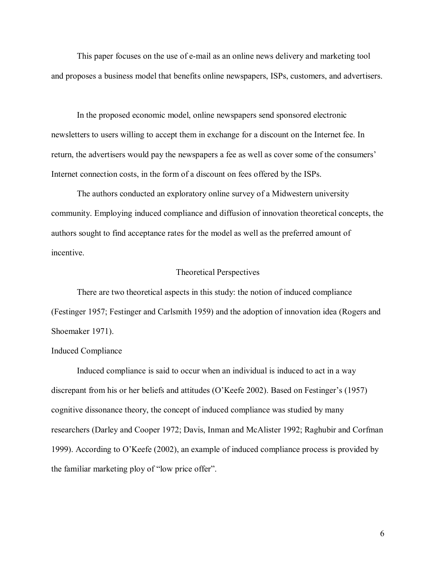This paper focuses on the use of e-mail as an online news delivery and marketing tool and proposes a business model that benefits online newspapers, ISPs, customers, and advertisers.

In the proposed economic model, online newspapers send sponsored electronic newsletters to users willing to accept them in exchange for a discount on the Internet fee. In return, the advertisers would pay the newspapers a fee as well as cover some of the consumers<sup>7</sup> Internet connection costs, in the form of a discount on fees offered by the ISPs.

The authors conducted an exploratory online survey of a Midwestern university community. Employing induced compliance and diffusion of innovation theoretical concepts, the authors sought to find acceptance rates for the model as well as the preferred amount of incentive.

## Theoretical Perspectives

There are two theoretical aspects in this study: the notion of induced compliance (Festinger 1957; Festinger and Carlsmith 1959) and the adoption of innovation idea (Rogers and Shoemaker 1971).

## Induced Compliance

Induced compliance is said to occur when an individual is induced to act in a way discrepant from his or her beliefs and attitudes (O'Keefe 2002). Based on Festinger's (1957) cognitive dissonance theory, the concept of induced compliance was studied by many researchers (Darley and Cooper 1972; Davis, Inman and McAlister 1992; Raghubir and Corfman 1999). According to O'Keefe (2002), an example of induced compliance process is provided by the familiar marketing ploy of "low price offer".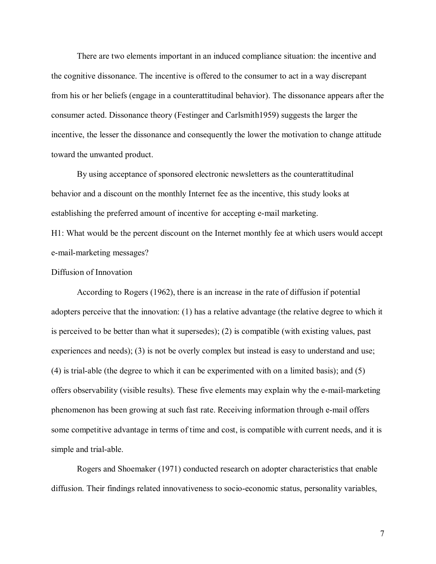There are two elements important in an induced compliance situation: the incentive and the cognitive dissonance. The incentive is offered to the consumer to act in a way discrepant from his or her beliefs (engage in a counterattitudinal behavior). The dissonance appears after the consumer acted. Dissonance theory (Festinger and Carlsmith1959) suggests the larger the incentive, the lesser the dissonance and consequently the lower the motivation to change attitude toward the unwanted product.

By using acceptance of sponsored electronic newsletters as the counterattitudinal behavior and a discount on the monthly Internet fee as the incentive, this study looks at establishing the preferred amount of incentive for accepting e-mail marketing.

H1: What would be the percent discount on the Internet monthly fee at which users would accept e-mail-marketing messages?

## Diffusion of Innovation

According to Rogers (1962), there is an increase in the rate of diffusion if potential adopters perceive that the innovation: (1) has a relative advantage (the relative degree to which it is perceived to be better than what it supersedes); (2) is compatible (with existing values, past experiences and needs); (3) is not be overly complex but instead is easy to understand and use; (4) is trial-able (the degree to which it can be experimented with on a limited basis); and (5) offers observability (visible results). These five elements may explain why the e-mail-marketing phenomenon has been growing at such fast rate. Receiving information through e-mail offers some competitive advantage in terms of time and cost, is compatible with current needs, and it is simple and trial-able.

Rogers and Shoemaker (1971) conducted research on adopter characteristics that enable diffusion. Their findings related innovativeness to socio-economic status, personality variables,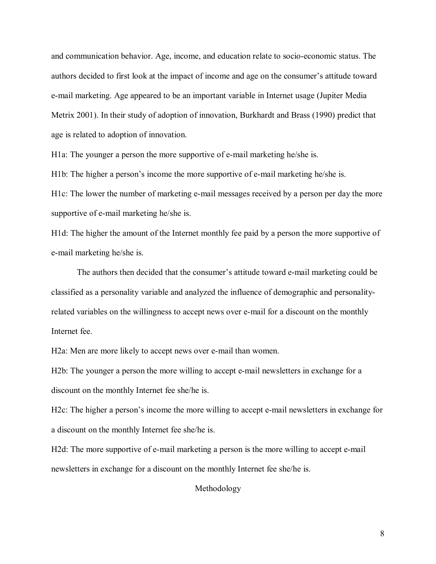and communication behavior. Age, income, and education relate to socio-economic status. The authors decided to first look at the impact of income and age on the consumer's attitude toward e-mail marketing. Age appeared to be an important variable in Internet usage (Jupiter Media Metrix 2001). In their study of adoption of innovation, Burkhardt and Brass (1990) predict that age is related to adoption of innovation.

H1a: The younger a person the more supportive of e-mail marketing he/she is.

H<sub>1b</sub>: The higher a person's income the more supportive of e-mail marketing he/she is.

H1c: The lower the number of marketing e-mail messages received by a person per day the more supportive of e-mail marketing he/she is.

H1d: The higher the amount of the Internet monthly fee paid by a person the more supportive of e-mail marketing he/she is.

The authors then decided that the consumer's attitude toward e-mail marketing could be classified as a personality variable and analyzed the influence of demographic and personalityrelated variables on the willingness to accept news over e-mail for a discount on the monthly Internet fee.

H2a: Men are more likely to accept news over e-mail than women.

H2b: The younger a person the more willing to accept e-mail newsletters in exchange for a discount on the monthly Internet fee she/he is.

H2c: The higher a person's income the more willing to accept e-mail newsletters in exchange for a discount on the monthly Internet fee she/he is.

H2d: The more supportive of e-mail marketing a person is the more willing to accept e-mail newsletters in exchange for a discount on the monthly Internet fee she/he is.

Methodology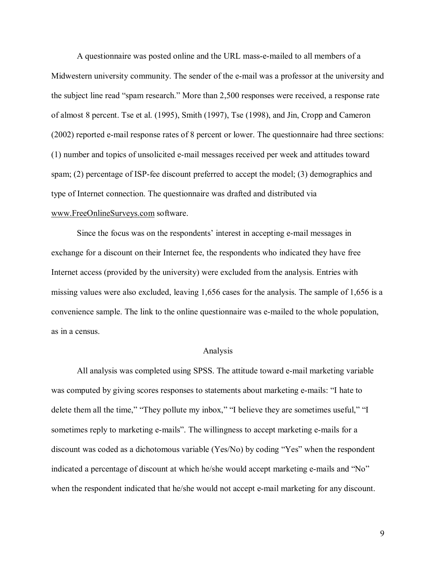A questionnaire was posted online and the URL mass-e-mailed to all members of a Midwestern university community. The sender of the e-mail was a professor at the university and the subject line read "spam research." More than 2,500 responses were received, a response rate of almost 8 percent. Tse et al. (1995), Smith (1997), Tse (1998), and Jin, Cropp and Cameron (2002) reported e-mail response rates of 8 percent or lower. The questionnaire had three sections: (1) number and topics of unsolicited e-mail messages received per week and attitudes toward spam; (2) percentage of ISP-fee discount preferred to accept the model; (3) demographics and type of Internet connection. The questionnaire was drafted and distributed via www.FreeOnlineSurveys.com software.

Since the focus was on the respondents' interest in accepting e-mail messages in exchange for a discount on their Internet fee, the respondents who indicated they have free Internet access (provided by the university) were excluded from the analysis. Entries with missing values were also excluded, leaving 1,656 cases for the analysis. The sample of 1,656 is a convenience sample. The link to the online questionnaire was e-mailed to the whole population, as in a census.

### Analysis

All analysis was completed using SPSS. The attitude toward e-mail marketing variable was computed by giving scores responses to statements about marketing e-mails: "I hate to delete them all the time," "They pollute my inbox," "I believe they are sometimes useful," "I sometimes reply to marketing e-mails". The willingness to accept marketing e-mails for a discount was coded as a dichotomous variable (Yes/No) by coding "Yes" when the respondent indicated a percentage of discount at which he/she would accept marketing e-mails and "No" when the respondent indicated that he/she would not accept e-mail marketing for any discount.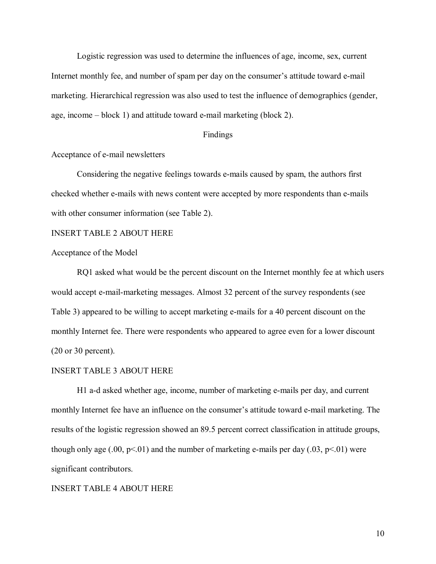Logistic regression was used to determine the influences of age, income, sex, current Internet monthly fee, and number of spam per day on the consumer's attitude toward e-mail marketing. Hierarchical regression was also used to test the influence of demographics (gender, age, income  $-\text{block }1$ ) and attitude toward e-mail marketing (block 2).

## Findings

## Acceptance of e-mail newsletters

Considering the negative feelings towards e-mails caused by spam, the authors first checked whether e-mails with news content were accepted by more respondents than e-mails with other consumer information (see Table 2).

## INSERT TABLE 2 ABOUT HERE

## Acceptance of the Model

RQ1 asked what would be the percent discount on the Internet monthly fee at which users would accept e-mail-marketing messages. Almost 32 percent of the survey respondents (see Table 3) appeared to be willing to accept marketing e-mails for a 40 percent discount on the monthly Internet fee. There were respondents who appeared to agree even for a lower discount (20 or 30 percent).

#### INSERT TABLE 3 ABOUT HERE

H1 a-d asked whether age, income, number of marketing e-mails per day, and current monthly Internet fee have an influence on the consumer's attitude toward e-mail marketing. The results of the logistic regression showed an 89.5 percent correct classification in attitude groups, though only age  $(.00, p<01)$  and the number of marketing e-mails per day  $(.03, p<01)$  were significant contributors.

#### INSERT TABLE 4 ABOUT HERE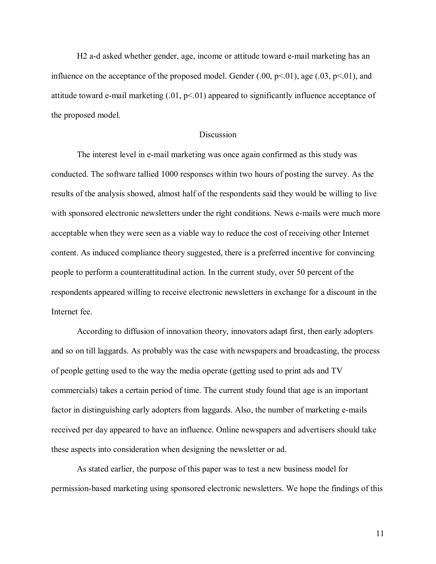H2 a-d asked whether gender, age, income or attitude toward e-mail marketing has an influence on the acceptance of the proposed model. Gender  $(.00, p<.01)$ , age  $(.03, p<.01)$ , and attitude toward e-mail marketing  $(0.01, p<0.01)$  appeared to significantly influence acceptance of the proposed model.

#### **Discussion**

The interest level in e-mail marketing was once again confirmed as this study was conducted. The software tallied 1000 responses within two hours of posting the survey. As the results of the analysis showed, almost half of the respondents said they would be willing to live with sponsored electronic newsletters under the right conditions. News e-mails were much more acceptable when they were seen as a viable way to reduce the cost of receiving other Internet content. As induced compliance theory suggested, there is a preferred incentive for convincing people to perform a counterattitudinal action. In the current study, over 50 percent of the respondents appeared willing to receive electronic newsletters in exchange for a discount in the Internet fee.

According to diffusion of innovation theory, innovators adapt first, then early adopters and so on till laggards. As probably was the case with newspapers and broadcasting, the process of people getting used to the way the media operate (getting used to print ads and TV commercials) takes a certain period of time. The current study found that age is an important factor in distinguishing early adopters from laggards. Also, the number of marketing e-mails received per day appeared to have an influence. Online newspapers and advertisers should take these aspects into consideration when designing the newsletter or ad.

As stated earlier, the purpose of this paper was to test a new business model for permission-based marketing using sponsored electronic newsletters. We hope the findings of this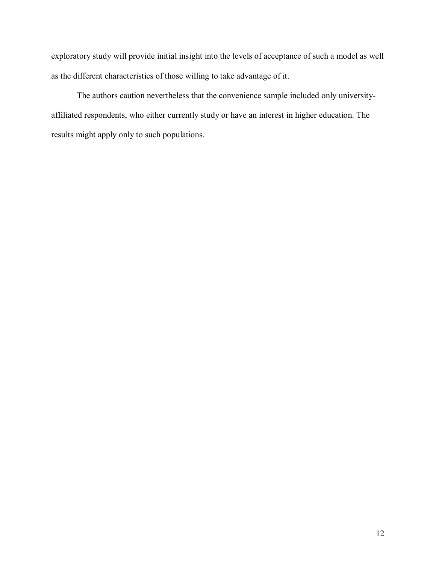exploratory study will provide initial insight into the levels of acceptance of such a model as well as the different characteristics of those willing to take advantage of it.

The authors caution nevertheless that the convenience sample included only universityaffiliated respondents, who either currently study or have an interest in higher education. The results might apply only to such populations.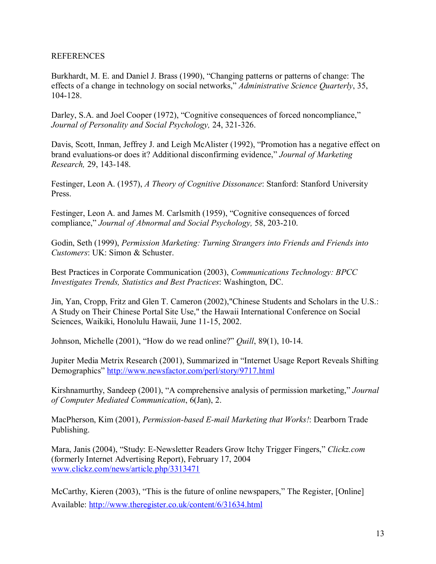## **REFERENCES**

Burkhardt, M. E. and Daniel J. Brass (1990), "Changing patterns or patterns of change: The effects of a change in technology on social networks," *Administrative Science Quarterly*, 35, 104-128.

Darley, S.A. and Joel Cooper (1972), "Cognitive consequences of forced noncompliance," *Journal of Personality and Social Psychology,* 24, 321-326.

Davis, Scott, Inman, Jeffrey J. and Leigh McAlister (1992), "Promotion has a negative effect on brand evaluations-or does it? Additional disconfirming evidence," Journal of Marketing *Research,* 29, 143-148.

Festinger, Leon A. (1957), *A Theory of Cognitive Dissonance*: Stanford: Stanford University Press.

Festinger, Leon A. and James M. Carlsmith (1959), "Cognitive consequences of forced compliance," *Journal of Abnormal and Social Psychology,* 58, 203-210.

Godin, Seth (1999), *Permission Marketing: Turning Strangers into Friends and Friends into Customers*: UK: Simon & Schuster.

Best Practices in Corporate Communication (2003), *Communications Technology: BPCC Investigates Trends, Statistics and Best Practices*: Washington, DC.

Jin, Yan, Cropp, Fritz and Glen T. Cameron (2002),"Chinese Students and Scholars in the U.S.: A Study on Their Chinese Portal Site Use," the Hawaii International Conference on Social Sciences, Waikiki, Honolulu Hawaii, June 11-15, 2002.

Johnson, Michelle (2001), "How do we read online?" *Quill*, 89(1), 10-14.

Jupiter Media Metrix Research (2001), Summarized in "Internet Usage Report Reveals Shifting Demographics" http://www.newsfactor.com/perl/story/9717.html

Kirshnamurthy, Sandeep (2001), "A comprehensive analysis of permission marketing," *Journal of Computer Mediated Communication*, 6(Jan), 2.

MacPherson, Kim (2001), *Permission-based E-mail Marketing that Works!*: Dearborn Trade Publishing.

Mara, Janis (2004), "Study: E-Newsletter Readers Grow Itchy Trigger Fingers," *Clickz.com* (formerly Internet Advertising Report), February 17, 2004 www.clickz.com/news/article.php/3313471

McCarthy, Kieren  $(2003)$ , "This is the future of online newspapers," The Register, [Online] Available: http://www.theregister.co.uk/content/6/31634.html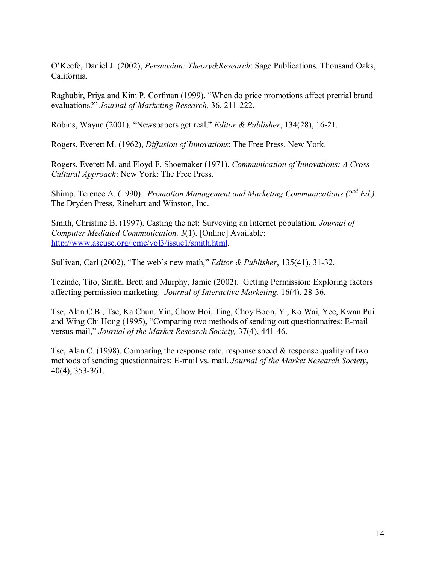OíKeefe, Daniel J. (2002), *Persuasion: Theory&Research*: Sage Publications. Thousand Oaks, California.

Raghubir, Priya and Kim P. Corfman (1999), "When do price promotions affect pretrial brand evaluations?î *Journal of Marketing Research,* 36, 211-222.

Robins, Wayne (2001), "Newspapers get real," *Editor & Publisher*, 134(28), 16-21.

Rogers, Everett M. (1962), *Diffusion of Innovations*: The Free Press. New York.

Rogers, Everett M. and Floyd F. Shoemaker (1971), *Communication of Innovations: A Cross Cultural Approach*: New York: The Free Press.

Shimp, Terence A. (1990). *Promotion Management and Marketing Communications (2nd Ed.).*  The Dryden Press, Rinehart and Winston, Inc.

Smith, Christine B. (1997). Casting the net: Surveying an Internet population. *Journal of Computer Mediated Communication,* 3(1). [Online] Available: http://www.ascusc.org/jcmc/vol3/issue1/smith.html.

Sullivan, Carl (2002), "The web's new math," *Editor & Publisher*, 135(41), 31-32.

Tezinde, Tito, Smith, Brett and Murphy, Jamie (2002). Getting Permission: Exploring factors affecting permission marketing. *Journal of Interactive Marketing,* 16(4), 28-36.

Tse, Alan C.B., Tse, Ka Chun, Yin, Chow Hoi, Ting, Choy Boon, Yi, Ko Wai, Yee, Kwan Pui and Wing Chi Hong (1995), "Comparing two methods of sending out questionnaires: E-mail versus mail," *Journal of the Market Research Society*, 37(4), 441-46.

Tse, Alan C. (1998). Comparing the response rate, response speed  $\&$  response quality of two methods of sending questionnaires: E-mail vs. mail. *Journal of the Market Research Society*, 40(4), 353-361.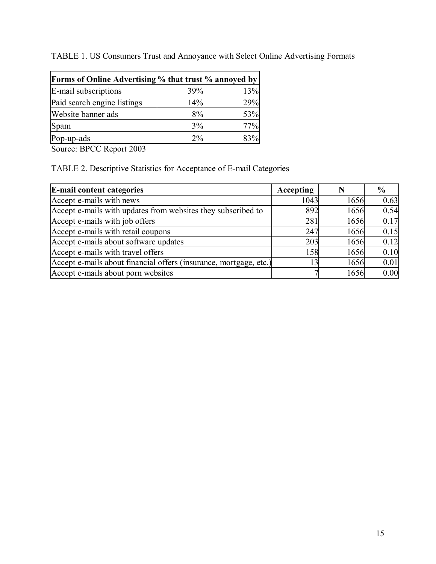| TABLE 1. US Consumers Trust and Annoyance with Select Online Advertising Formats |  |
|----------------------------------------------------------------------------------|--|
|----------------------------------------------------------------------------------|--|

| <b>Forms of Online Advertising % that trust % annoyed by</b> |     |     |
|--------------------------------------------------------------|-----|-----|
| E-mail subscriptions                                         | 39% | 13% |
| Paid search engine listings                                  | 14% | 29% |
| Website banner ads                                           | 8%  | 53% |
| Spam                                                         | 3%  | 77% |
| Pop-up-ads                                                   | 2%  |     |

Source: BPCC Report 2003

TABLE 2. Descriptive Statistics for Acceptance of E-mail Categories

| <b>E-mail content categories</b>                                  | Accepting |      | $\frac{0}{0}$ |
|-------------------------------------------------------------------|-----------|------|---------------|
| Accept e-mails with news                                          | 1043      | 1656 | 0.63          |
| Accept e-mails with updates from websites they subscribed to      | 892       | 1656 | 0.54          |
| Accept e-mails with job offers                                    | 281       | 1656 | 0.17          |
| Accept e-mails with retail coupons                                | 247       | 1656 | 0.15          |
| Accept e-mails about software updates                             | 203       | 1656 | 0.12          |
| Accept e-mails with travel offers                                 | 158       | 1656 | 0.10          |
| Accept e-mails about financial offers (insurance, mortgage, etc.) |           | 1656 | 0.01          |
| Accept e-mails about porn websites                                |           | 1656 | 0.00          |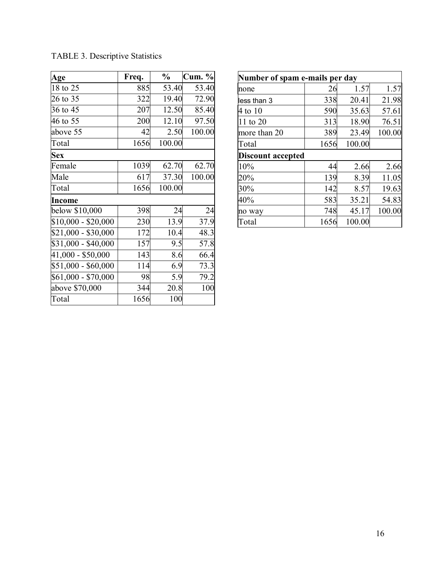| Age                 | Freq. | $\frac{0}{0}$ | <b>Cum.</b> % |  |
|---------------------|-------|---------------|---------------|--|
| 18 to 25            | 885   | 53.40         | 53.40         |  |
| 26 to 35            | 322   | 19.40         | 72.90         |  |
| 36 to 45            | 207   | 12.50         | 85.40         |  |
| 46 to 55            | 200   | 12.10         | 97.50         |  |
| above 55            | 42    | 2.50          | 100.00        |  |
| Total               | 1656  | 100.00        |               |  |
| <b>Sex</b>          |       |               |               |  |
| Female              | 1039  | 62.70         | 62.70         |  |
| Male                | 617   | 37.30         | 100.00        |  |
| Total               | 1656  | 100.00        |               |  |
| Income              |       |               |               |  |
| below \$10,000      | 398   | 24            | 24            |  |
| $$10,000 - $20,000$ | 230   | 13.9          | 37.9          |  |
| $$21,000 - $30,000$ | 172   | 10.4          | 48.3          |  |
| \$31,000 - \$40,000 | 157   | 9.5           | 57.8          |  |
| 41,000 - \$50,000   | 143   | 8.6           | 66.4          |  |
| $$51,000 - $60,000$ | 114   | 6.9           | 73.3          |  |
| \$61,000 - \$70,000 | 98    | 5.9           | 79.2          |  |
| above \$70,000      | 344   | 20.8          | 100           |  |
| Total               | 1656  | 100           |               |  |

| <b>TABLE 3. Descriptive Statistics</b> |  |
|----------------------------------------|--|
|----------------------------------------|--|

| Number of spam e-mails per day |      |        |        |  |  |  |
|--------------------------------|------|--------|--------|--|--|--|
| none                           | 26   | 1.57   | 1.57   |  |  |  |
| less than 3                    | 338  | 20.41  | 21.98  |  |  |  |
| 4 to 10                        | 590  | 35.63  | 57.61  |  |  |  |
| 11 to 20                       | 313  | 18.90  | 76.51  |  |  |  |
| more than 20                   | 389  | 23.49  | 100.00 |  |  |  |
| Total                          | 1656 | 100.00 |        |  |  |  |
| <b>Discount accepted</b>       |      |        |        |  |  |  |
| 10%                            | 44   | 2.66   | 2.66   |  |  |  |
| 20%                            | 139  | 8.39   | 11.05  |  |  |  |
| 30%                            | 142  | 8.57   | 19.63  |  |  |  |
| 40%                            | 583  | 35.21  | 54.83  |  |  |  |
| no way                         | 748  | 45.17  | 100.00 |  |  |  |
| Total                          | 1656 | 100.00 |        |  |  |  |